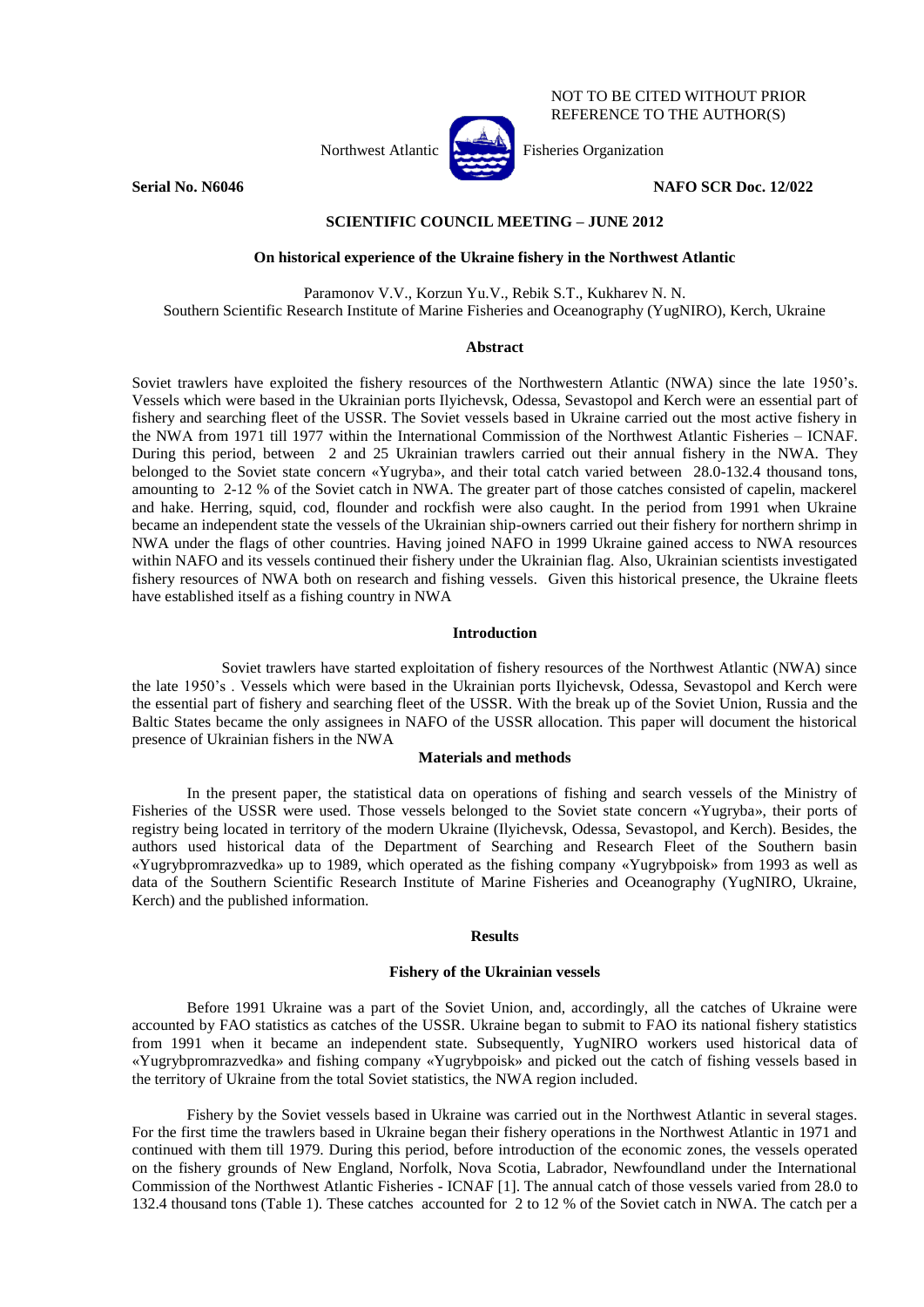Northwest Atlantic  $\begin{bmatrix} \sqrt{1-\frac{1}{2}} \\ \sqrt{1-\frac{1}{2}} \\ \sqrt{1-\frac{1}{2}} \\ \sqrt{1-\frac{1}{2}} \\ \sqrt{1-\frac{1}{2}} \\ \sqrt{1-\frac{1}{2}} \\ \sqrt{1-\frac{1}{2}} \\ \sqrt{1-\frac{1}{2}} \\ \sqrt{1-\frac{1}{2}} \\ \sqrt{1-\frac{1}{2}} \\ \sqrt{1-\frac{1}{2}} \\ \sqrt{1-\frac{1}{2}} \\ \sqrt{1-\frac{1}{2}} \\ \sqrt{1-\frac{1}{2}} \\ \sqrt{1-\frac{1}{2}} \\ \sqrt{1-\frac{1}{2}} \\ \sqrt{$ 

NOT TO BE CITED WITHOUT PRIOR REFERENCE TO THE AUTHOR(S)

**Serial No. N6046 NAFO SCR Doc. 12/022** 

# **SCIENTIFIC COUNCIL MEETING – JUNE 2012**

## **On historical experience of the Ukraine fishery in the Northwest Atlantic**

Paramonov V.V., Korzun Yu.V., Rebik S.Т., Kukharev N. N. Southern Scientific Research Institute of Marine Fisheries and Oceanography (YugNIRO), Kerch, Ukraine

### **Abstract**

Soviet trawlers have exploited the fishery resources of the Northwestern Atlantic (NWA) since the late 1950's. Vessels which were based in the Ukrainian ports Ilyichevsk, Odessa, Sevastopol and Kerch were an essential part of fishery and searching fleet of the USSR. The Soviet vessels based in Ukraine carried out the most active fishery in the NWА from 1971 till 1977 within the International Commission of the Northwest Atlantic Fisheries – ICNAF. During this period, between 2 and 25 Ukrainian trawlers carried out their annual fishery in the NWA. They belonged to the Soviet state concern «Yugryba», and their total catch varied between 28.0-132.4 thousand tons, amounting to 2-12 % of the Soviet catch in NWA. The greater part of those catches consisted of capelin, mackerel and hake. Herring, squid, cod, flounder and rockfish were also caught. In the period from 1991 when Ukraine became an independent state the vessels of the Ukrainian ship-owners carried out their fishery for northern shrimp in NWA under the flags of other countries. Having joined NAFO in 1999 Ukraine gained access to NWA resources within NAFO and its vessels continued their fishery under the Ukrainian flag. Also, Ukrainian scientists investigated fishery resources of NWA both on research and fishing vessels. Given this historical presence, the Ukraine fleets have established itself as a fishing country in NWA

### **Introduction**

Soviet trawlers have started exploitation of fishery resources of the Northwest Atlantic (NWA) since the late 1950's . Vessels which were based in the Ukrainian ports Ilyichevsk, Odessa, Sevastopol and Kerch were the essential part of fishery and searching fleet of the USSR. With the break up of the Soviet Union, Russia and the Baltic States became the only assignees in NAFO of the USSR allocation. This paper will document the historical presence of Ukrainian fishers in the NWA

## **Materials and methods**

In the present paper, the statistical data on operations of fishing and search vessels of the Ministry of Fisheries of the USSR were used. Those vessels belonged to the Soviet state concern «Yugryba», their ports of registry being located in territory of the modern Ukraine (Ilyichevsk, Odessa, Sevastopol, and Kerch). Besides, the authors used historical data of the Department of Searching and Research Fleet of the Southern basin «Yugrybpromrazvedka» up to 1989, which operated as the fishing company «Yugrybpoisk» from 1993 as well as data of the Southern Scientific Research Institute of Marine Fisheries and Oceanography (YugNIRO, Ukraine, Kerch) and the published information.

#### **Results**

#### **Fishery of the Ukrainian vessels**

Before 1991 Ukraine was a part of the Soviet Union, and, accordingly, all the catches of Ukraine were accounted by FAO statistics as catches of the USSR. Ukraine began to submit to FAO its national fishery statistics from 1991 when it became an independent state. Subsequently, YugNIRO workers used historical data of «Yugrybpromrazvedka» and fishing company «Yugrybpoisk» and picked out the catch of fishing vessels based in the territory of Ukraine from the total Soviet statistics, the NWA region included.

Fishery by the Soviet vessels based in Ukraine was carried out in the Northwest Atlantic in several stages. For the first time the trawlers based in Ukraine began their fishery operations in the Northwest Atlantic in 1971 and continued with them till 1979. During this period, before introduction of the economic zones, the vessels operated on the fishery grounds of New England, Norfolk, Nova Scotia, Labrador, Newfoundland under the International Commission of the Northwest Atlantic Fisheries - ICNAF [1]. The annual catch of those vessels varied from 28.0 to 132.4 thousand tons (Table 1). These catches accounted for 2 to 12 % of the Soviet catch in NWA. The catch per a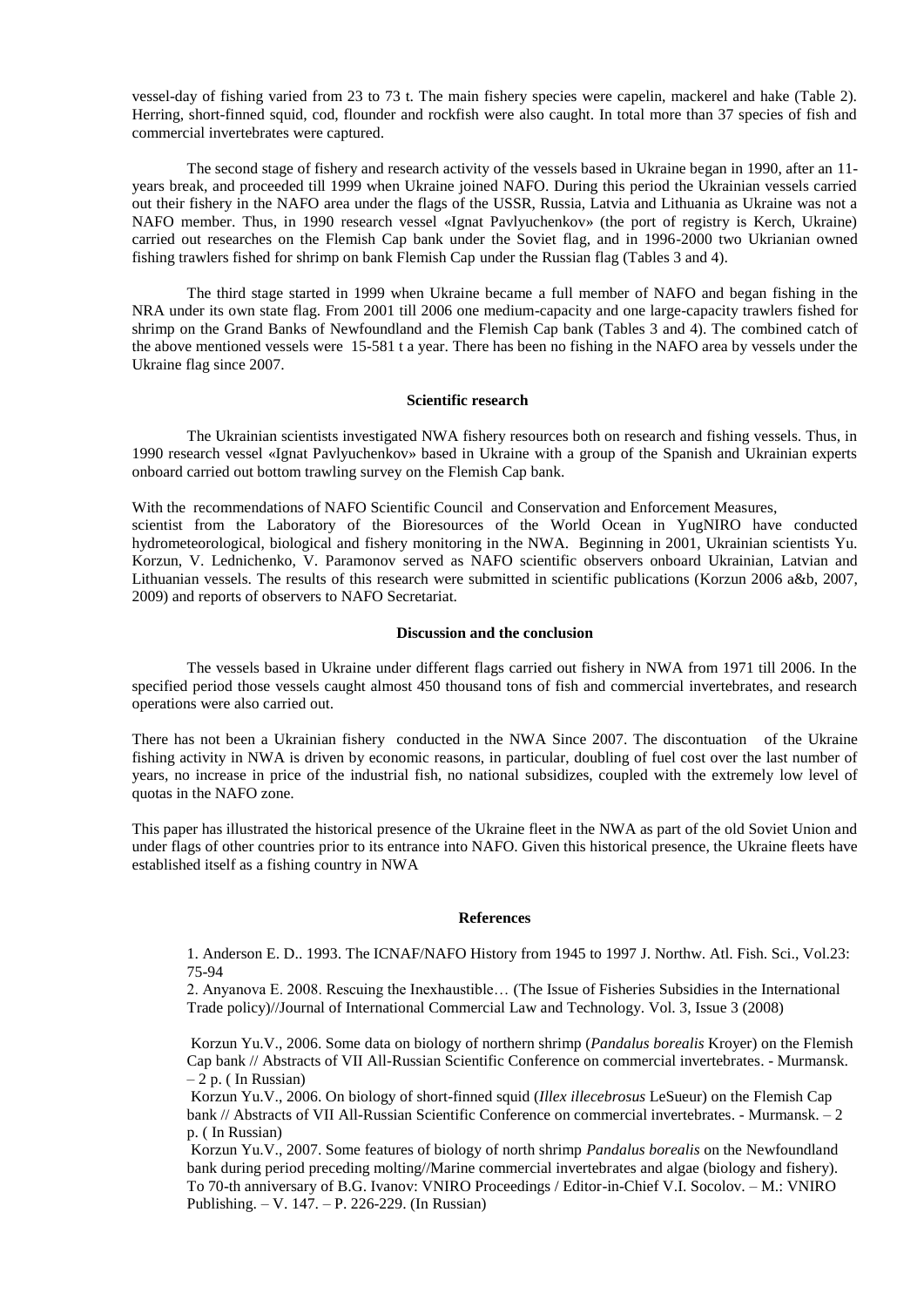vessel-day of fishing varied from 23 to 73 t. The main fishery species were capelin, mackerel and hake (Table 2). Herring, short-finned squid, cod, flounder and rockfish were also caught. In total more than 37 species of fish and commercial invertebrates were captured.

The second stage of fishery and research activity of the vessels based in Ukraine began in 1990, after an 11 years break, and proceeded till 1999 when Ukraine joined NAFO. During this period the Ukrainian vessels carried out their fishery in the NAFO area under the flags of the USSR, Russia, Latvia and Lithuania as Ukraine was not a NAFO member. Thus, in 1990 research vessel «Ignat Pavlyuchenkov» (the port of registry is Kerch, Ukraine) carried out researches on the Flemish Cap bank under the Soviet flag, and in 1996-2000 two Ukrianian owned fishing trawlers fished for shrimp on bank Flemish Cap under the Russian flag (Tables 3 and 4).

The third stage started in 1999 when Ukraine became a full member of NAFO and began fishing in the NRA under its own state flag. From 2001 till 2006 one medium-capacity and one large-capacity trawlers fished for shrimp on the Grand Banks of Newfoundland and the Flemish Cap bank (Tables 3 and 4). The combined catch of the above mentioned vessels were 15-581 t a year. There has been no fishing in the NAFO area by vessels under the Ukraine flag since 2007.

# **Scientific research**

The Ukrainian scientists investigated NWA fishery resources both on research and fishing vessels. Thus, in 1990 research vessel «Ignat Pavlyuchenkov» based in Ukraine with a group of the Spanish and Ukrainian experts onboard carried out bottom trawling survey on the Flemish Cap bank.

With the recommendations of NAFO Scientific Council and Conservation and Enforcement Measures,

scientist from the Laboratory of the Bioresources of the World Ocean in YugNIRO have conducted hydrometeorological, biological and fishery monitoring in the NWA. Beginning in 2001, Ukrainian scientists Yu. Korzun, V. Lednichenko, V. Paramonov served as NAFO scientific observers onboard Ukrainian, Latvian and Lithuanian vessels. The results of this research were submitted in scientific publications (Korzun 2006 a&b, 2007, 2009) and reports of observers to NAFO Secretariat.

### **Discussion and the conclusion**

The vessels based in Ukraine under different flags carried out fishery in NWA from 1971 till 2006. In the specified period those vessels caught almost 450 thousand tons of fish and commercial invertebrates, and research operations were also carried out.

There has not been a Ukrainian fishery conducted in the NWA Since 2007. The discontuation of the Ukraine fishing activity in NWA is driven by economic reasons, in particular, doubling of fuel cost over the last number of years, no increase in price of the industrial fish, no national subsidizes, coupled with the extremely low level of quotas in the NAFO zone.

This paper has illustrated the historical presence of the Ukraine fleet in the NWA as part of the old Soviet Union and under flags of other countries prior to its entrance into NAFO. Given this historical presence, the Ukraine fleets have established itself as a fishing country in NWA

#### **References**

1[. Anderson E. D.. 1993. The ICNAF/NAFO History from 1945 to 1997](http://www.nafo.int/about/history/anderson/annderson.html) J. Northw. Atl. Fish. Sci., Vol.23: 75-94

2. Anyanova E. 2008. Rescuing the Inexhaustible… (The Issue of Fisheries Subsidies in the International Trade policy)//Journal of International Commercial Law and Technology. Vol. 3, Issue 3 (2008)

Korzun Yu.V., 2006. Some data on biology of northern shrimp (*Pandalus borealis* Kroyer) on the Flemish Cap bank // Abstracts of VII All-Russian Scientific Conference on commercial invertebrates. - Murmansk.  $-2$  p. (In Russian)

Korzun Yu.V., 2006. On biology of short-finned squid (*Illex illecebrosus* LeSueur) on the Flemish Cap bank // Abstracts of VII All-Russian Scientific Conference on commercial invertebrates. - Murmansk. - 2 p. ( In Russian)

Korzun Yu.V., 2007. Some features of biology of north shrimp *Pandalus borealis* on the Newfoundland bank during period preceding molting//Marine commercial invertebrates and algae (biology and fishery). To 70-th anniversary of B.G. Ivanov: VNIRO Proceedings / Editor-in-Chief V.I. Socolov. – M.: VNIRO Publishing. – V. 147. – P. 226-229. (In Russian)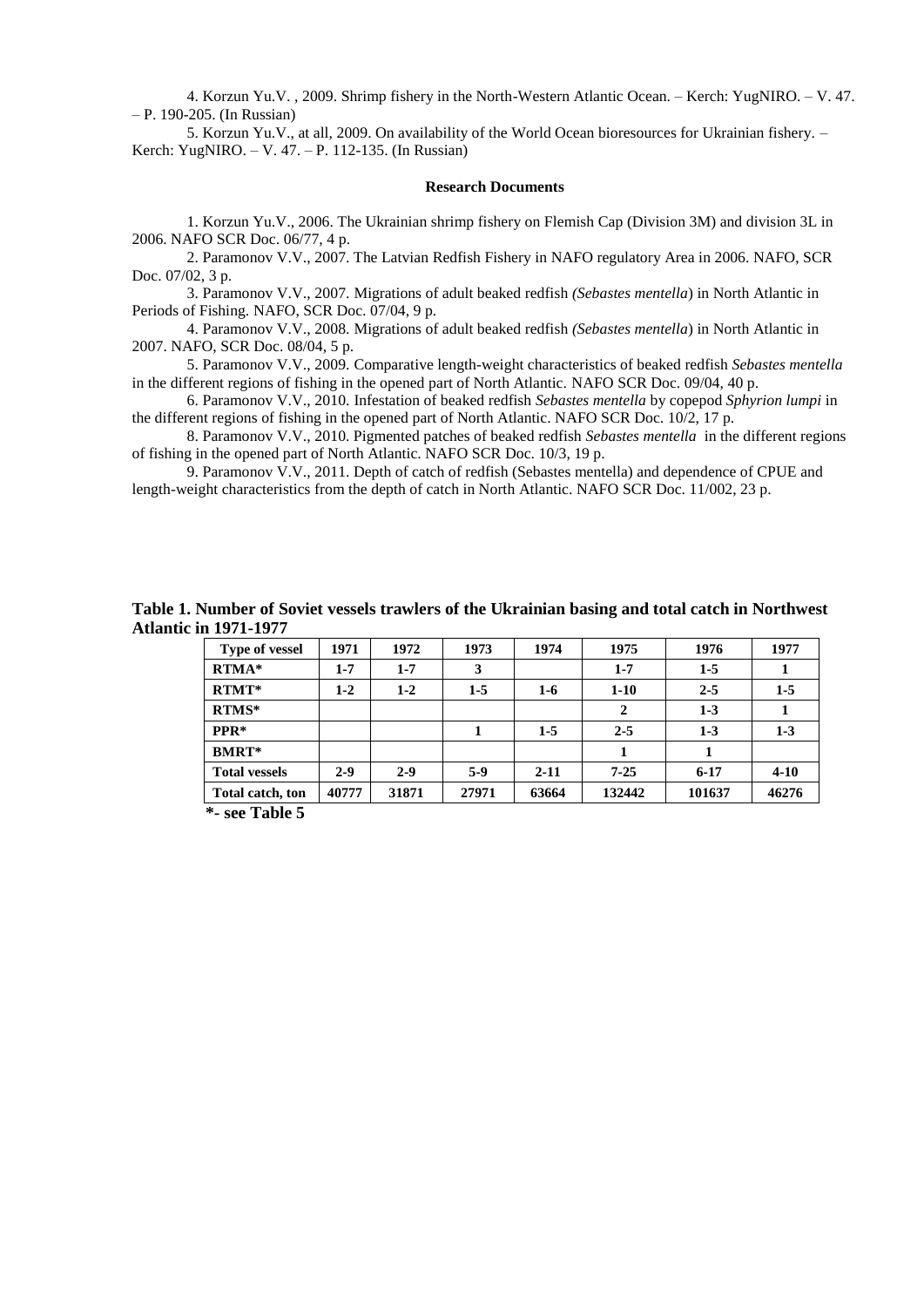4. Korzun Yu.V. , 2009. Shrimp fishery in the North-Western Atlantic Ocean. – Kerch: YugNIRO. – V. 47. – P. 190-205. (In Russian)

5. Korzun Yu.V., at all, 2009. On availability of the World Ocean bioresources for Ukrainian fishery. – Kerch: YugNIRO. – V. 47. – P. 112-135. (In Russian)

## **Research Documents**

1. Korzun Yu.V., 2006. The Ukrainian shrimp fishery on Flemish Cap (Division 3M) and division 3L in 2006. NAFO SCR Doc. 06/77, 4 p.

2. Paramonov V.V., 2007. The Latvian Redfish Fishery in NAFO regulatory Area in 2006. NAFO, SCR Doc. 07/02, 3 p.

3. Paramonov V.V., 2007. [Migrations of adult beaked redfish](http://www.nafo.int/science/publications/SCDocs/2008/abstracts/abstract004.html) *(Sebastes mentella*) in North Atlantic in Periods of Fishing. NAFO, SCR Doc. 07/04, 9 p.

4. Paramonov V.V., 2008. [Migrations of adult beaked redfish](http://www.nafo.int/science/publications/SCDocs/2008/abstracts/abstract004.html) *(Sebastes mentella*) in North Atlantic in [2007.](http://www.nafo.int/science/publications/SCDocs/2008/abstracts/abstract004.html) NAFO, SCR Doc. 08/04, 5 p.

5. Paramonov V.V., 2009. Comparative length-weight characteristics of beaked redfish *Sebastes mentella*  in the different regions of fishing in the opened part of North Atlantic. NAFO SCR Doc. 09/04, 40 p.

6. Paramonov V.V., 2010. Infestation of beaked redfish *Sebastes mentella* by copepod *Sphyrion lumpi* in the different regions of fishing in the opened part of North Atlantic. NAFO SCR Doc. 10/2, 17 p.

8. Paramonov V.V., 2010. Pigmented patches of beaked redfish *Sebastes mentella* in the different regions of fishing in the opened part of North Atlantic. NAFO SCR Doc. 10/3, 19 p.

9. Paramonov V.V., 2011. Depth of catch of redfish (Sebastes mentella) and dependence of CPUE and length-weight characteristics from the depth of catch in North Atlantic. NAFO SCR Doc. 11/002, 23 p.

| Table 1. Number of Soviet vessels trawlers of the Ukrainian basing and total catch in Northwest |  |  |
|-------------------------------------------------------------------------------------------------|--|--|
| <b>Atlantic in 1971-1977</b>                                                                    |  |  |

| <b>Type of vessel</b> | 1971    | 1972    | 1973  | 1974     | 1975         | 1976    | 1977     |
|-----------------------|---------|---------|-------|----------|--------------|---------|----------|
| $RTMA*$               | $1 - 7$ | $1 - 7$ | 3     |          | $1 - 7$      | $1-5$   |          |
| $RTMT*$               | $1-2$   | $1-2$   | $1-5$ | $1-6$    | $1-10$       | $2 - 5$ | $1-5$    |
| $RTMS*$               |         |         |       |          | $\mathbf{2}$ | $1 - 3$ |          |
| PPR*                  |         |         |       | $1-5$    | $2 - 5$      | $1 - 3$ | $1-3$    |
| <b>BMRT*</b>          |         |         |       |          |              |         |          |
| <b>Total vessels</b>  | $2 - 9$ | $2 - 9$ | $5-9$ | $2 - 11$ | $7 - 25$     | $6-17$  | $4 - 10$ |
| Total catch, ton      | 40777   | 31871   | 27971 | 63664    | 132442       | 101637  | 46276    |

 **\*- see Table 5**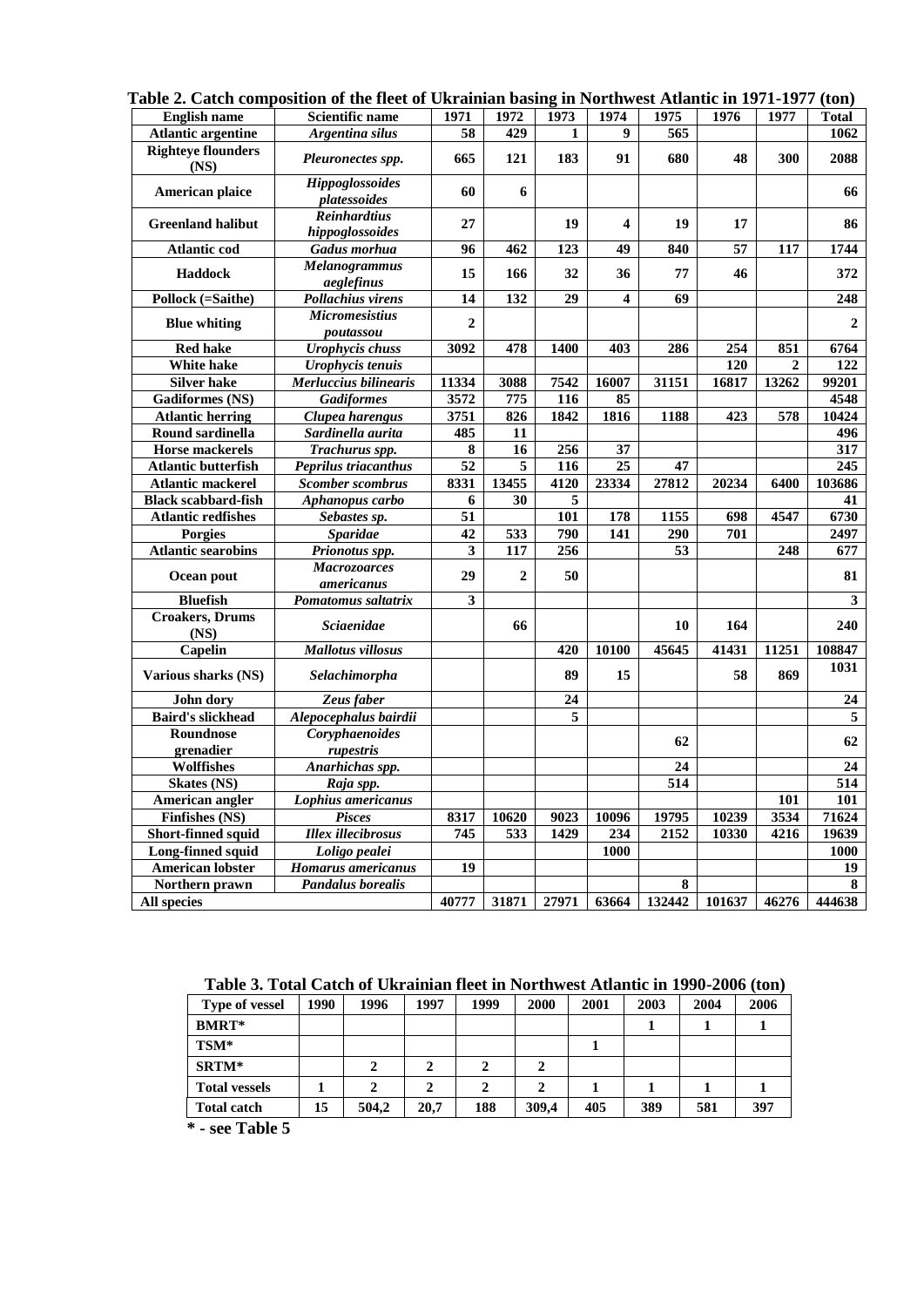| radie 2. Catch composition of the neet of UKramian dasing in Northwest Atlantic in 1971-1977 (ton) |                                        |                 |                  |       |                         |                  |        |              |              |
|----------------------------------------------------------------------------------------------------|----------------------------------------|-----------------|------------------|-------|-------------------------|------------------|--------|--------------|--------------|
| <b>English name</b>                                                                                | Scientific name                        | 1971            | 1972             | 1973  | 1974                    | 1975             | 1976   | 1977         | <b>Total</b> |
| <b>Atlantic argentine</b>                                                                          | Argentina silus                        | 58              | 429              | 1     | 9                       | 565              |        |              | 1062         |
| <b>Righteye flounders</b><br>(NS)                                                                  | Pleuronectes spp.                      | 665             | 121              | 183   | 91                      | 680              | 48     | 300          | 2088         |
| American plaice                                                                                    | Hippoglossoides<br>platessoides        | 60              | 6                |       |                         |                  |        |              | 66           |
| <b>Greenland halibut</b>                                                                           | <b>Reinhardtius</b><br>hippoglossoides | 27              |                  | 19    | 4                       | 19               | 17     |              | 86           |
| <b>Atlantic cod</b>                                                                                | <b>Gadus morhua</b>                    | 96              | 462              | 123   | 49                      | 840              | 57     | 117          | 1744         |
| Haddock                                                                                            | <b>Melanogrammus</b><br>aeglefinus     | 15              | 166              | 32    | 36                      | 77               | 46     |              | 372          |
| Pollock (=Saithe)                                                                                  | Pollachius virens                      | 14              | $\overline{132}$ | 29    | $\overline{\mathbf{4}}$ | 69               |        |              | 248          |
| <b>Blue whiting</b>                                                                                | <b>Micromesistius</b><br>poutassou     | $\overline{2}$  |                  |       |                         |                  |        |              | $\mathbf{2}$ |
| <b>Red hake</b>                                                                                    | <b>Urophycis</b> chuss                 | 3092            | 478              | 1400  | 403                     | 286              | 254    | 851          | 6764         |
| White hake                                                                                         | Urophycis tenuis                       |                 |                  |       |                         |                  | 120    | $\mathbf{2}$ | 122          |
| Silver hake                                                                                        | Merluccius bilinearis                  | 11334           | 3088             | 7542  | 16007                   | 31151            | 16817  | 13262        | 99201        |
| <b>Gadiformes</b> (NS)                                                                             | <b>Gadiformes</b>                      | 3572            | 775              | 116   | 85                      |                  |        |              | 4548         |
| <b>Atlantic herring</b>                                                                            | Clupea harengus                        | 3751            | 826              | 1842  | 1816                    | 1188             | 423    | 578          | 10424        |
| Round sardinella                                                                                   | Sardinella aurita                      | 485             | 11               |       |                         |                  |        |              | 496          |
| <b>Horse mackerels</b>                                                                             | Trachurus spp.                         | 8               | 16               | 256   | 37                      |                  |        |              | 317          |
| <b>Atlantic butterfish</b>                                                                         | Peprilus triacanthus                   | 52              | 5                | 116   | $\overline{25}$         | 47               |        |              | 245          |
| Atlantic mackerel                                                                                  | <b>Scomber scombrus</b>                | 8331            | 13455            | 4120  | 23334                   | 27812            | 20234  | 6400         | 103686       |
| <b>Black scabbard-fish</b>                                                                         | Aphanopus carbo                        | 6               | 30               | 5     |                         |                  |        |              | 41           |
| <b>Atlantic redfishes</b>                                                                          | Sebastes sp.                           | $\overline{51}$ |                  | 101   | $\overline{178}$        | 1155             | 698    | 4547         | 6730         |
| Porgies                                                                                            | <b>Sparidae</b>                        | 42              | 533              | 790   | 141                     | $\overline{290}$ | 701    |              | 2497         |
| <b>Atlantic searobins</b>                                                                          | <b>Prionotus spp.</b>                  | 3               | 117              | 256   |                         | $\overline{53}$  |        | 248          | 677          |
| Ocean pout                                                                                         | <b>Macrozoarces</b><br>americanus      | 29              | $\boldsymbol{2}$ | 50    |                         |                  |        |              | 81           |
| <b>Bluefish</b>                                                                                    | Pomatomus saltatrix                    | 3               |                  |       |                         |                  |        |              | 3            |
| <b>Croakers</b> , <b>Drums</b><br>(NS)                                                             | <b>Sciaenidae</b>                      |                 | 66               |       |                         | 10               | 164    |              | 240          |
| Capelin                                                                                            | <b>Mallotus villosus</b>               |                 |                  | 420   | 10100                   | 45645            | 41431  | 11251        | 108847       |
| Various sharks (NS)                                                                                | Selachimorpha                          |                 |                  | 89    | 15                      |                  | 58     | 869          | 1031         |
| <b>John dory</b>                                                                                   | Zeus faber                             |                 |                  | 24    |                         |                  |        |              | 24           |
| <b>Baird's slickhead</b>                                                                           | Alepocephalus bairdii                  |                 |                  | 5     |                         |                  |        |              | 5            |
| Roundnose                                                                                          | Coryphaenoides                         |                 |                  |       |                         | 62               |        |              |              |
| grenadier                                                                                          | rupestris                              |                 |                  |       |                         |                  |        |              | 62           |
| Wolffishes                                                                                         | Anarhichas spp.                        |                 |                  |       |                         | 24               |        |              | 24           |
| <b>Skates</b> (NS)                                                                                 | Raja spp.                              |                 |                  |       |                         | $\overline{514}$ |        |              | 514          |
| American angler                                                                                    | Lophius americanus                     |                 |                  |       |                         |                  |        | 101          | 101          |
| <b>Finfishes (NS)</b>                                                                              | <b>Pisces</b>                          | 8317            | 10620            | 9023  | 10096                   | 19795            | 10239  | 3534         | 71624        |
| Short-finned squid                                                                                 | <b>Illex</b> illecibrosus              | 745             | 533              | 1429  | 234                     | 2152             | 10330  | 4216         | 19639        |
| Long-finned squid                                                                                  | Loligo pealei                          |                 |                  |       | 1000                    |                  |        |              | 1000         |
| <b>American lobster</b>                                                                            | Homarus americanus                     | 19              |                  |       |                         |                  |        |              | 19           |
| Northern prawn                                                                                     | <b>Pandalus borealis</b>               |                 |                  |       |                         | 8                |        |              | 8            |
| <b>All species</b>                                                                                 |                                        | 40777           | 31871            | 27971 | 63664                   | 132442           | 101637 | 46276        | 444638       |

**Table 2. Catch composition of the fleet of Ukrainian basing in Northwest Atlantic in 1971-1977 (ton)**

**Table 3. Total Catch of Ukrainian fleet in Northwest Atlantic in 1990-2006 (ton)**

| <b>Type of vessel</b> | 1990 | 1996  | 1997 | 1999 | 2000  | 2001 | 2003 | 2004 | 2006 |
|-----------------------|------|-------|------|------|-------|------|------|------|------|
| <b>BMRT*</b>          |      |       |      |      |       |      |      |      |      |
| TSM*                  |      |       |      |      |       |      |      |      |      |
| <b>SRTM*</b>          |      |       | 2    |      |       |      |      |      |      |
| <b>Total vessels</b>  |      |       | 2    |      |       |      |      |      |      |
| <b>Total catch</b>    | 15   | 504,2 | 20,7 | 188  | 309,4 | 405  | 389  | 581  | 397  |

**\* - see Table 5**